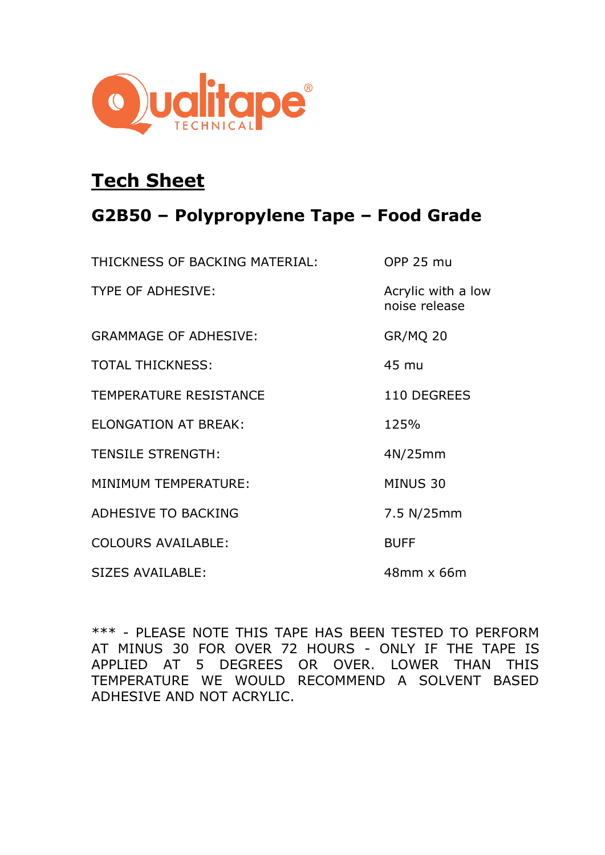

## **Tech Sheet**

## **G2B50 – Polypropylene Tape – Food Grade**

| THICKNESS OF BACKING MATERIAL: | <b>OPP 25 mu</b>                    |
|--------------------------------|-------------------------------------|
| <b>TYPE OF ADHESIVE:</b>       | Acrylic with a low<br>noise release |
| <b>GRAMMAGE OF ADHESIVE:</b>   | <b>GR/MQ 20</b>                     |
| <b>TOTAL THICKNESS:</b>        | 45 mu                               |
| <b>TEMPERATURE RESISTANCE</b>  | 110 DEGREES                         |
| <b>ELONGATION AT BREAK:</b>    | 125%                                |
| <b>TENSILE STRENGTH:</b>       | 4N/25mm                             |
| MINIMUM TEMPERATURE:           | MINUS 30                            |
| <b>ADHESIVE TO BACKING</b>     | 7.5 N/25mm                          |
| <b>COLOURS AVAILABLE:</b>      | <b>BUFF</b>                         |
| <b>SIZES AVAILABLE:</b>        | 48mm x 66m                          |

\*\*\* - PLEASE NOTE THIS TAPE HAS BEEN TESTED TO PERFORM AT MINUS 30 FOR OVER 72 HOURS - ONLY IF THE TAPE IS APPLIED AT 5 DEGREES OR OVER. LOWER THAN THIS TEMPERATURE WE WOULD RECOMMEND A SOLVENT BASED ADHESIVE AND NOT ACRYLIC.